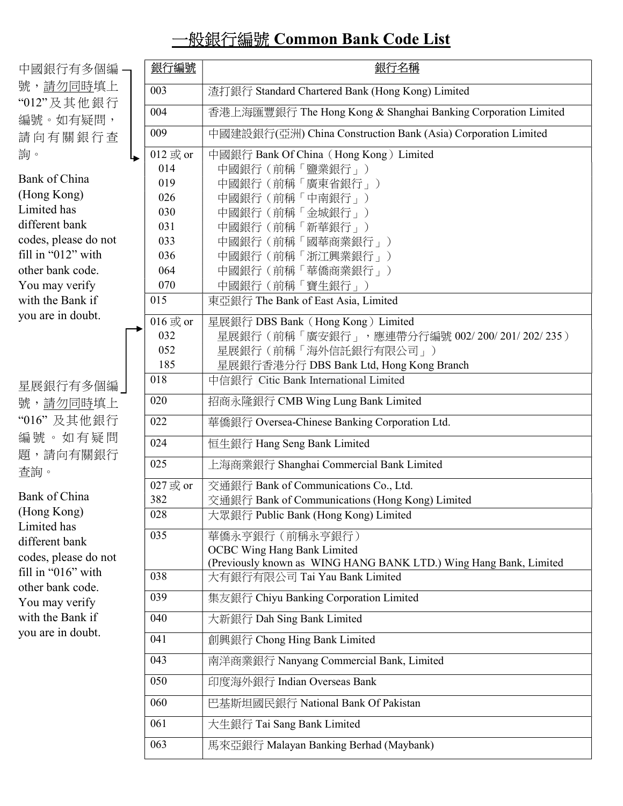## 一般銀行編號 Common Bank Code List

| 中國銀行有多個編 —                                                                                        |     | 銀行編號             | 銀行名稱                                                              |
|---------------------------------------------------------------------------------------------------|-----|------------------|-------------------------------------------------------------------|
| 號,請勿同時填上                                                                                          |     | 003              | 渣打銀行 Standard Chartered Bank (Hong Kong) Limited                  |
| "012"及其他銀行<br>編號。如有疑問,                                                                            |     | 004              | 香港上海匯豐銀行 The Hong Kong & Shanghai Banking Corporation Limited     |
| 請向有關銀行查                                                                                           |     | 009              | 中國建設銀行(亞洲) China Construction Bank (Asia) Corporation Limited     |
| 詢。                                                                                                | حبا | 012 或 or         | 中國銀行 Bank Of China (Hong Kong) Limited                            |
|                                                                                                   |     | 014              | 中國銀行 (前稱「鹽業銀行」)                                                   |
| <b>Bank of China</b>                                                                              |     | 019              | 中國銀行 (前稱「廣東省銀行」)                                                  |
| (Hong Kong)                                                                                       |     | 026              | 中國銀行 (前稱「中南銀行」)                                                   |
| Limited has                                                                                       |     | 030              | 中國銀行 (前稱「金城銀行」)                                                   |
| different bank                                                                                    |     | 031              | 中國銀行 (前稱「新華銀行」)                                                   |
| codes, please do not                                                                              |     | 033              | 中國銀行 (前稱「國華商業銀行」)                                                 |
| fill in "012" with                                                                                |     | 036              | 中國銀行 (前稱「浙江興業銀行」)                                                 |
| other bank code.                                                                                  |     | 064              | 中國銀行 (前稱「華僑商業銀行」)                                                 |
| You may verify                                                                                    |     | 070              | 中國銀行 (前稱「寶生銀行」)                                                   |
| with the Bank if                                                                                  |     | 015              | 東亞銀行 The Bank of East Asia, Limited                               |
| you are in doubt.                                                                                 |     | 016 或 or         | 星展銀行 DBS Bank (Hong Kong) Limited                                 |
|                                                                                                   |     | 032              | 星展銀行(前稱「廣安銀行」,應連帶分行編號 002/200/201/202/235)                        |
|                                                                                                   |     | 052              | 星展銀行 (前稱「海外信託銀行有限公司」)                                             |
|                                                                                                   |     | 185              | 星展銀行香港分行 DBS Bank Ltd, Hong Kong Branch                           |
| 星展銀行有多個編]                                                                                         |     | 018              | 中信銀行 Citic Bank International Limited                             |
| 號, <u>請勿同時</u> 填上                                                                                 |     | 020              | 招商永隆銀行 CMB Wing Lung Bank Limited                                 |
| "016" 及其他銀行                                                                                       |     | 022              | 華僑銀行 Oversea-Chinese Banking Corporation Ltd.                     |
| 編號。如有疑問                                                                                           |     | 024              | 恒生銀行 Hang Seng Bank Limited                                       |
| 題,請向有關銀行<br>查詢。                                                                                   |     | 025              | 上海商業銀行 Shanghai Commercial Bank Limited                           |
|                                                                                                   |     | 027 或 or         | 交通銀行 Bank of Communications Co., Ltd.                             |
| <b>Bank of China</b>                                                                              |     | 382              | 交通銀行 Bank of Communications (Hong Kong) Limited                   |
| (Hong Kong)                                                                                       |     | $\overline{028}$ | 大眾銀行 Public Bank (Hong Kong) Limited                              |
| Limited has<br>different bank                                                                     |     | 035              | 華僑永亨銀行 (前稱永亨銀行)                                                   |
|                                                                                                   |     |                  | <b>OCBC Wing Hang Bank Limited</b>                                |
| codes, please do not                                                                              |     |                  | (Previously known as WING HANG BANK LTD.) Wing Hang Bank, Limited |
| fill in "016" with<br>other bank code.<br>You may verify<br>with the Bank if<br>you are in doubt. |     | 038              | 大有銀行有限公司 Tai Yau Bank Limited                                     |
|                                                                                                   |     | 039              | 集友銀行 Chiyu Banking Corporation Limited                            |
|                                                                                                   |     | 040              | 大新銀行 Dah Sing Bank Limited                                        |
|                                                                                                   |     | 041              | 創興銀行 Chong Hing Bank Limited                                      |
|                                                                                                   |     | 043              | 南洋商業銀行 Nanyang Commercial Bank, Limited                           |
|                                                                                                   |     | 050              | 印度海外銀行 Indian Overseas Bank                                       |
|                                                                                                   |     | 060              | 巴基斯坦國民銀行 National Bank Of Pakistan                                |
|                                                                                                   |     | 061              | 大生銀行 Tai Sang Bank Limited                                        |
|                                                                                                   |     | 063              | 馬來亞銀行 Malayan Banking Berhad (Maybank)                            |